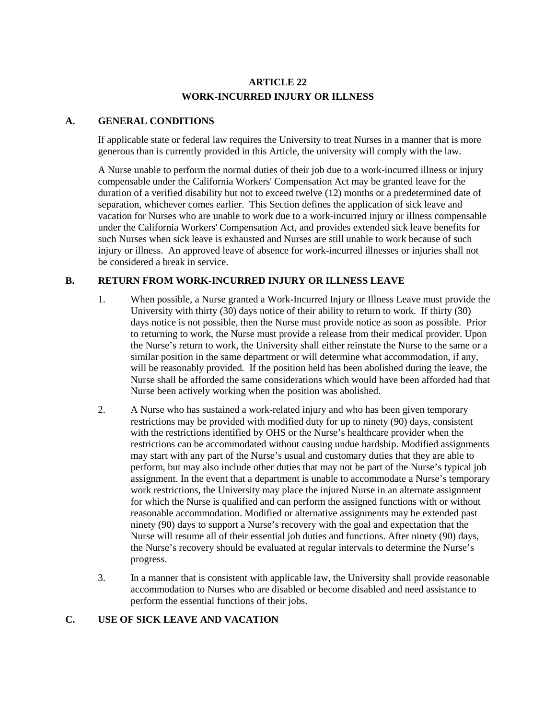# **ARTICLE 22 WORK-INCURRED INJURY OR ILLNESS**

#### **A. GENERAL CONDITIONS**

If applicable state or federal law requires the University to treat Nurses in a manner that is more generous than is currently provided in this Article, the university will comply with the law.

A Nurse unable to perform the normal duties of their job due to a work-incurred illness or injury compensable under the California Workers' Compensation Act may be granted leave for the duration of a verified disability but not to exceed twelve (12) months or a predetermined date of separation, whichever comes earlier. This Section defines the application of sick leave and vacation for Nurses who are unable to work due to a work-incurred injury or illness compensable under the California Workers' Compensation Act, and provides extended sick leave benefits for such Nurses when sick leave is exhausted and Nurses are still unable to work because of such injury or illness. An approved leave of absence for work-incurred illnesses or injuries shall not be considered a break in service.

### **B. RETURN FROM WORK-INCURRED INJURY OR ILLNESS LEAVE**

- 1. When possible, a Nurse granted a Work-Incurred Injury or Illness Leave must provide the University with thirty (30) days notice of their ability to return to work. If thirty (30) days notice is not possible, then the Nurse must provide notice as soon as possible. Prior to returning to work, the Nurse must provide a release from their medical provider. Upon the Nurse's return to work, the University shall either reinstate the Nurse to the same or a similar position in the same department or will determine what accommodation, if any, will be reasonably provided. If the position held has been abolished during the leave, the Nurse shall be afforded the same considerations which would have been afforded had that Nurse been actively working when the position was abolished.
- 2. A Nurse who has sustained a work-related injury and who has been given temporary restrictions may be provided with modified duty for up to ninety (90) days, consistent with the restrictions identified by OHS or the Nurse's healthcare provider when the restrictions can be accommodated without causing undue hardship. Modified assignments may start with any part of the Nurse's usual and customary duties that they are able to perform, but may also include other duties that may not be part of the Nurse's typical job assignment. In the event that a department is unable to accommodate a Nurse's temporary work restrictions, the University may place the injured Nurse in an alternate assignment for which the Nurse is qualified and can perform the assigned functions with or without reasonable accommodation. Modified or alternative assignments may be extended past ninety (90) days to support a Nurse's recovery with the goal and expectation that the Nurse will resume all of their essential job duties and functions. After ninety (90) days, the Nurse's recovery should be evaluated at regular intervals to determine the Nurse's progress.
- 3. In a manner that is consistent with applicable law, the University shall provide reasonable accommodation to Nurses who are disabled or become disabled and need assistance to perform the essential functions of their jobs.

### **C. USE OF SICK LEAVE AND VACATION**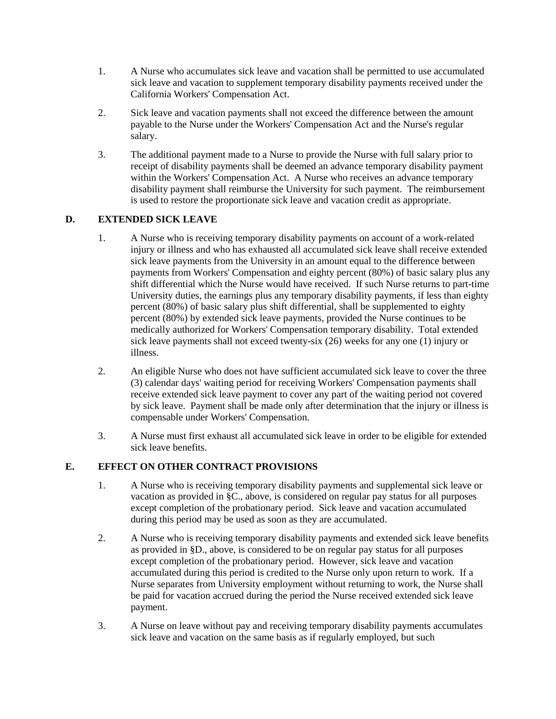- 1. A Nurse who accumulates sick leave and vacation shall be permitted to use accumulated sick leave and vacation to supplement temporary disability payments received under the California Workers' Compensation Act.
- 2. Sick leave and vacation payments shall not exceed the difference between the amount payable to the Nurse under the Workers' Compensation Act and the Nurse's regular salary.
- 3. The additional payment made to a Nurse to provide the Nurse with full salary prior to receipt of disability payments shall be deemed an advance temporary disability payment within the Workers' Compensation Act. A Nurse who receives an advance temporary disability payment shall reimburse the University for such payment. The reimbursement is used to restore the proportionate sick leave and vacation credit as appropriate.

## **D. EXTENDED SICK LEAVE**

- 1. A Nurse who is receiving temporary disability payments on account of a work-related injury or illness and who has exhausted all accumulated sick leave shall receive extended sick leave payments from the University in an amount equal to the difference between payments from Workers' Compensation and eighty percent (80%) of basic salary plus any shift differential which the Nurse would have received. If such Nurse returns to part-time University duties, the earnings plus any temporary disability payments, if less than eighty percent (80%) of basic salary plus shift differential, shall be supplemented to eighty percent (80%) by extended sick leave payments, provided the Nurse continues to be medically authorized for Workers' Compensation temporary disability. Total extended sick leave payments shall not exceed twenty-six (26) weeks for any one (1) injury or illness.
- 2. An eligible Nurse who does not have sufficient accumulated sick leave to cover the three (3) calendar days' waiting period for receiving Workers' Compensation payments shall receive extended sick leave payment to cover any part of the waiting period not covered by sick leave. Payment shall be made only after determination that the injury or illness is compensable under Workers' Compensation.
- 3. A Nurse must first exhaust all accumulated sick leave in order to be eligible for extended sick leave benefits.

### **E. EFFECT ON OTHER CONTRACT PROVISIONS**

- 1. A Nurse who is receiving temporary disability payments and supplemental sick leave or vacation as provided in §C., above, is considered on regular pay status for all purposes except completion of the probationary period. Sick leave and vacation accumulated during this period may be used as soon as they are accumulated.
- 2. A Nurse who is receiving temporary disability payments and extended sick leave benefits as provided in §D., above, is considered to be on regular pay status for all purposes except completion of the probationary period. However, sick leave and vacation accumulated during this period is credited to the Nurse only upon return to work. If a Nurse separates from University employment without returning to work, the Nurse shall be paid for vacation accrued during the period the Nurse received extended sick leave payment.
- 3. A Nurse on leave without pay and receiving temporary disability payments accumulates sick leave and vacation on the same basis as if regularly employed, but such